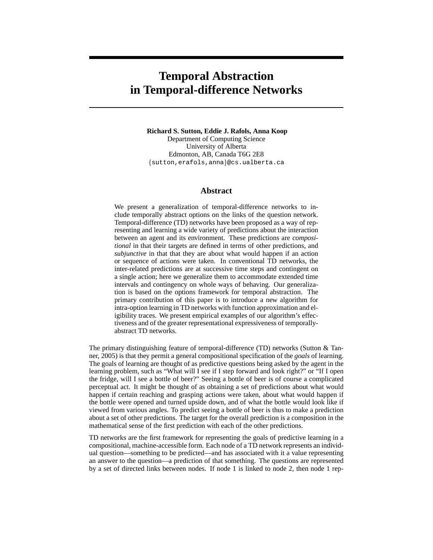# **Temporal Abstraction in Temporal-difference Networks**

**Richard S. Sutton, Eddie J. Rafols, Anna Koop** Department of Computing Science University of Alberta Edmonton, AB, Canada T6G 2E8 {sutton,erafols,anna}@cs.ualberta.ca

## **Abstract**

We present a generalization of temporal-difference networks to include temporally abstract options on the links of the question network. Temporal-difference (TD) networks have been proposed as a way of representing and learning a wide variety of predictions about the interaction between an agent and its environment. These predictions are *compositional* in that their targets are defined in terms of other predictions, and *subjunctive* in that that they are about what would happen if an action or sequence of actions were taken. In conventional TD networks, the inter-related predictions are at successive time steps and contingent on a single action; here we generalize them to accommodate extended time intervals and contingency on whole ways of behaving. Our generalization is based on the options framework for temporal abstraction. The primary contribution of this paper is to introduce a new algorithm for intra-option learning in TD networks with function approximation and eligibility traces. We present empirical examples of our algorithm's effectiveness and of the greater representational expressiveness of temporallyabstract TD networks.

The primary distinguishing feature of temporal-difference (TD) networks (Sutton & Tanner, 2005) is that they permit a general compositional specification of the *goals* of learning. The goals of learning are thought of as predictive questions being asked by the agent in the learning problem, such as "What will I see if I step forward and look right?" or "If I open the fridge, will I see a bottle of beer?" Seeing a bottle of beer is of course a complicated perceptual act. It might be thought of as obtaining a set of predictions about what would happen if certain reaching and grasping actions were taken, about what would happen if the bottle were opened and turned upside down, and of what the bottle would look like if viewed from various angles. To predict seeing a bottle of beer is thus to make a prediction about a set of other predictions. The target for the overall prediction is a composition in the mathematical sense of the first prediction with each of the other predictions.

TD networks are the first framework for representing the goals of predictive learning in a compositional, machine-accessible form. Each node of a TD network represents an individual question—something to be predicted—and has associated with it a value representing an answer to the question—a prediction of that something. The questions are represented by a set of directed links between nodes. If node 1 is linked to node 2, then node 1 rep-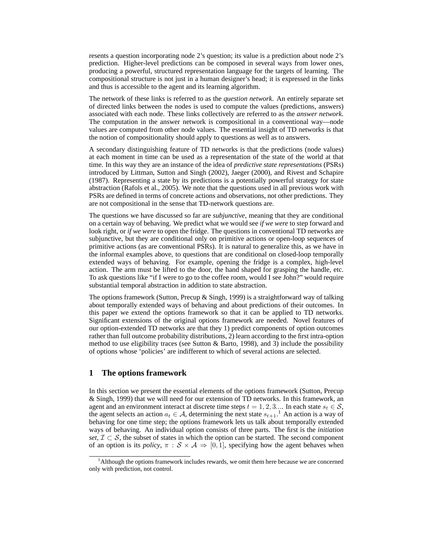resents a question incorporating node 2's question; its value is a prediction about node 2's prediction. Higher-level predictions can be composed in several ways from lower ones, producing a powerful, structured representation language for the targets of learning. The compositional structure is not just in a human designer's head; it is expressed in the links and thus is accessible to the agent and its learning algorithm.

The network of these links is referred to as the *question network*. An entirely separate set of directed links between the nodes is used to compute the values (predictions, answers) associated with each node. These links collectively are referred to as the *answer network*. The computation in the answer network is compositional in a conventional way—node values are computed from other node values. The essential insight of TD networks is that the notion of compositionality should apply to questions as well as to answers.

A secondary distinguishing feature of TD networks is that the predictions (node values) at each moment in time can be used as a representation of the state of the world at that time. In this way they are an instance of the idea of *predictive state representations* (PSRs) introduced by Littman, Sutton and Singh (2002), Jaeger (2000), and Rivest and Schapire (1987). Representing a state by its predictions is a potentially powerful strategy for state abstraction (Rafols et al., 2005). We note that the questions used in all previous work with PSRs are defined in terms of concrete actions and observations, not other predictions. They are not compositional in the sense that TD-network questions are.

The questions we have discussed so far are *subjunctive*, meaning that they are conditional on a certain way of behaving. We predict what we would see *if we were* to step forward and look right, or *if we were* to open the fridge. The questions in conventional TD networks are subjunctive, but they are conditional only on primitive actions or open-loop sequences of primitive actions (as are conventional PSRs). It is natural to generalize this, as we have in the informal examples above, to questions that are conditional on closed-loop temporally extended ways of behaving. For example, opening the fridge is a complex, high-level action. The arm must be lifted to the door, the hand shaped for grasping the handle, etc. To ask questions like "if I were to go to the coffee room, would I see John?" would require substantial temporal abstraction in addition to state abstraction.

The options framework (Sutton, Precup  $\&$  Singh, 1999) is a straightforward way of talking about temporally extended ways of behaving and about predictions of their outcomes. In this paper we extend the options framework so that it can be applied to TD networks. Significant extensions of the original options framework are needed. Novel features of our option-extended TD networks are that they 1) predict components of option outcomes rather than full outcome probability distributions, 2) learn according to the first intra-option method to use eligibility traces (see Sutton & Barto, 1998), and 3) include the possibility of options whose 'policies' are indifferent to which of several actions are selected.

# **1 The options framework**

In this section we present the essential elements of the options framework (Sutton, Precup & Singh, 1999) that we will need for our extension of TD networks. In this framework, an agent and an environment interact at discrete time steps  $t = 1, 2, 3...$  In each state  $s_t \in S$ , the agent selects an action  $a_t \in \mathcal{A}$ , determining the next state  $s_{t+1}$ .<sup>1</sup> An action is a way of behaving for one time step; the options framework lets us talk about temporally extended ways of behaving. An individual option consists of three parts. The first is the *initiation set*,  $\mathcal{I} \subset \mathcal{S}$ , the subset of states in which the option can be started. The second component of an option is its *policy*,  $\pi : \mathcal{S} \times \mathcal{A} \Rightarrow [0, 1]$ , specifying how the agent behaves when

<sup>&</sup>lt;sup>1</sup> Although the options framework includes rewards, we omit them here because we are concerned only with prediction, not control.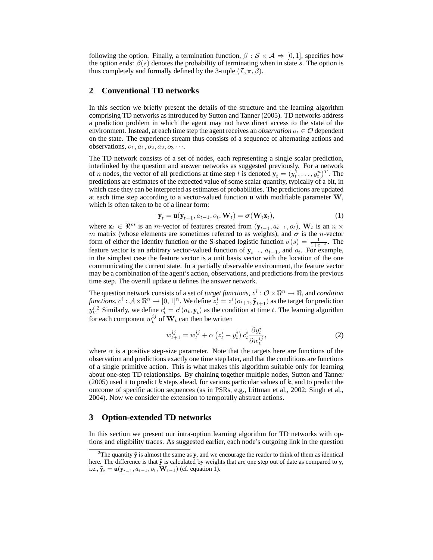following the option. Finally, a termination function,  $\beta : \mathcal{S} \times \mathcal{A} \Rightarrow [0, 1]$ , specifies how the option ends:  $\beta(s)$  denotes the probability of terminating when in state s. The option is thus completely and formally defined by the 3-tuple  $(\mathcal{I}, \pi, \beta)$ .

## **2 Conventional TD networks**

In this section we briefly present the details of the structure and the learning algorithm comprising TD networks as introduced by Sutton and Tanner (2005). TD networks address a prediction problem in which the agent may not have direct access to the state of the environment. Instead, at each time step the agent receives an *observation*  $o_t \in \mathcal{O}$  dependent on the state. The experience stream thus consists of a sequence of alternating actions and observations,  $o_1$ ,  $a_1$ ,  $o_2$ ,  $a_2$ ,  $o_3$   $\cdots$ .

The TD network consists of a set of nodes, each representing a single scalar prediction, interlinked by the question and answer networks as suggested previously. For a network of *n* nodes, the vector of all predictions at time step *t* is denoted  $\mathbf{y}_t = (y_t^1, \dots, y_t^n)^T$ . The predictions are estimates of the expected value of some scalar quantity, typically of a bit, in which case they can be interpreted as estimates of probabilities. The predictions are updated at each time step according to a vector-valued function **u** with modifiable parameter W, which is often taken to be of a linear form:

$$
\mathbf{y}_t = \mathbf{u}(\mathbf{y}_{t-1}, a_{t-1}, o_t, \mathbf{W}_t) = \boldsymbol{\sigma}(\mathbf{W}_t \mathbf{x}_t),
$$
\n(1)

where  $\mathbf{x}_t \in \mathbb{R}^m$  is an *m*-vector of features created from  $(\mathbf{y}_{t-1}, a_{t-1}, o_t)$ , W<sub>t</sub> is an  $n \times$ m matrix (whose elements are sometimes referred to as weights), and  $\sigma$  is the n-vector form of either the identity function or the S-shaped logistic function  $\sigma(s) = \frac{1}{1+e^{-s}}$ . The feature vector is an arbitrary vector-valued function of  $y_{t-1}$ ,  $a_{t-1}$ , and  $o_t$ . For example, in the simplest case the feature vector is a unit basis vector with the location of the one communicating the current state. In a partially observable environment, the feature vector may be a combination of the agent's action, observations, and predictions from the previous time step. The overall update **u** defines the answer network.

The question network consists of a set of *target functions*,  $z^i$  :  $\mathcal{O} \times \mathbb{R}^n \to \mathbb{R}$ , and *condition functions*,  $c^i: A \times \mathbb{R}^n \to [0,1]^n$ . We define  $z_t^i = z^i(o_{t+1}, \tilde{\mathbf{y}}_{t+1})$  as the target for prediction  $y_t^i$ .<sup>2</sup> Similarly, we define  $c_t^i = c^i(a_t, \mathbf{y}_t)$  as the condition at time t. The learning algorithm for each component  $w_t^{ij}$  of  $\mathbf{W}_t$  can then be written

$$
w_{t+1}^{ij} = w_t^{ij} + \alpha \left( z_t^i - y_t^i \right) c_t^i \frac{\partial y_t^i}{\partial w_t^{ij}},\tag{2}
$$

where  $\alpha$  is a positive step-size parameter. Note that the targets here are functions of the observation and predictions exactly one time step later, and that the conditions are functions of a single primitive action. This is what makes this algorithm suitable only for learning about one-step TD relationships. By chaining together multiple nodes, Sutton and Tanner (2005) used it to predict k steps ahead, for various particular values of k, and to predict the outcome of specific action sequences (as in PSRs, e.g., Littman et al., 2002; Singh et al., 2004). Now we consider the extension to temporally abstract actions.

# **3 Option-extended TD networks**

In this section we present our intra-option learning algorithm for TD networks with options and eligibility traces. As suggested earlier, each node's outgoing link in the question

<sup>&</sup>lt;sup>2</sup>The quantity  $\tilde{y}$  is almost the same as **y**, and we encourage the reader to think of them as identical here. The difference is that  $\tilde{y}$  is calculated by weights that are one step out of date as compared to **y**, i.e.,  $\tilde{\mathbf{y}}_t = \mathbf{u}(\mathbf{y}_{t-1}, a_{t-1}, o_t, \mathbf{W}_{t-1})$  (cf. equation 1).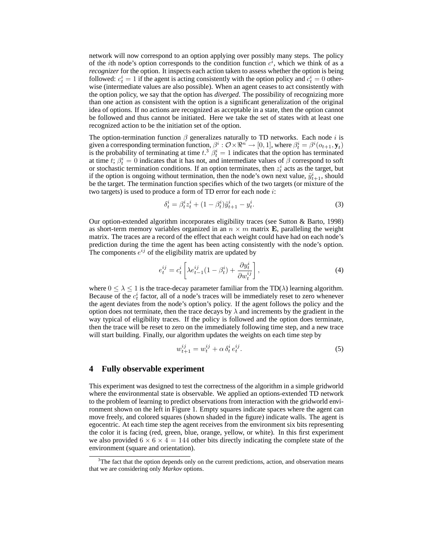network will now correspond to an option applying over possibly many steps. The policy of the *i*th node's option corresponds to the condition function  $c^i$ , which we think of as a *recognizer* for the option. It inspects each action taken to assess whether the option is being followed:  $c_t^i = 1$  if the agent is acting consistently with the option policy and  $c_t^i = 0$  otherwise (intermediate values are also possible). When an agent ceases to act consistently with the option policy, we say that the option has *diverged*. The possibility of recognizing more than one action as consistent with the option is a significant generalization of the original idea of options. If no actions are recognized as acceptable in a state, then the option cannot be followed and thus cannot be initiated. Here we take the set of states with at least one recognized action to be the initiation set of the option.

The option-termination function  $\beta$  generalizes naturally to TD networks. Each node i is given a corresponding termination function,  $\beta^i: \mathcal{O}\times\Re^n\to[0,1]$ , where  $\beta^i_t=\beta^i(o_{t+1}, \mathbf{y}_t)$ is the probability of terminating at time  $t^3$   $\beta_t^i = 1$  indicates that the option has terminated at time t;  $\beta_t^i = 0$  indicates that it has not, and intermediate values of  $\beta$  correspond to soft or stochastic termination conditions. If an option terminates, then  $z_t^i$  acts as the target, but if the option is ongoing without termination, then the node's own next value,  $\tilde{y}_{t+1}^i$ , should be the target. The termination function specifies which of the two targets (or mixture of the two targets) is used to produce a form of TD error for each node  $i$ :

$$
\delta_t^i = \beta_t^i z_t^i + (1 - \beta_t^i) \tilde{y}_{t+1}^i - y_t^i.
$$
 (3)

Our option-extended algorithm incorporates eligibility traces (see Sutton & Barto, 1998) as short-term memory variables organized in an  $n \times m$  matrix E, paralleling the weight matrix. The traces are a record of the effect that each weight could have had on each node's prediction during the time the agent has been acting consistently with the node's option. The components  $e^{ij}$  of the eligibility matrix are updated by

$$
e_t^{ij} = c_t^i \left[ \lambda e_{t-1}^{ij} (1 - \beta_t^i) + \frac{\partial y_t^i}{\partial w_t^{ij}} \right],\tag{4}
$$

where  $0 \leq \lambda \leq 1$  is the trace-decay parameter familiar from the TD( $\lambda$ ) learning algorithm. Because of the  $c_t^i$  factor, all of a node's traces will be immediately reset to zero whenever the agent deviates from the node's option's policy. If the agent follows the policy and the option does not terminate, then the trace decays by  $\lambda$  and increments by the gradient in the way typical of eligibility traces. If the policy is followed and the option does terminate, then the trace will be reset to zero on the immediately following time step, and a new trace will start building. Finally, our algorithm updates the weights on each time step by

$$
w_{t+1}^{ij} = w_t^{ij} + \alpha \,\delta_t^i \, e_t^{ij}.\tag{5}
$$

### **4 Fully observable experiment**

This experiment was designed to test the correctness of the algorithm in a simple gridworld where the environmental state is observable. We applied an options-extended TD network to the problem of learning to predict observations from interaction with the gridworld environment shown on the left in Figure 1. Empty squares indicate spaces where the agent can move freely, and colored squares (shown shaded in the figure) indicate walls. The agent is egocentric. At each time step the agent receives from the environment six bits representing the color it is facing (red, green, blue, orange, yellow, or white). In this first experiment we also provided  $6 \times 6 \times 4 = 144$  other bits directly indicating the complete state of the environment (square and orientation).

 $3$ The fact that the option depends only on the current predictions, action, and observation means that we are considering only *Markov* options.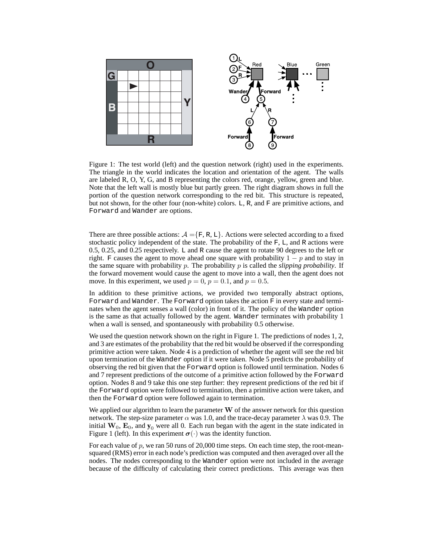

Figure 1: The test world (left) and the question network (right) used in the experiments. The triangle in the world indicates the location and orientation of the agent. The walls are labeled R, O, Y, G, and B representing the colors red, orange, yellow, green and blue. Note that the left wall is mostly blue but partly green. The right diagram shows in full the portion of the question network corresponding to the red bit. This structure is repeated, but not shown, for the other four (non-white) colors.  $L, R$ , and  $F$  are primitive actions, and Forward and Wander are options.

There are three possible actions:  $A = \{F, R, L\}$ . Actions were selected according to a fixed stochastic policy independent of the state. The probability of the  $F$ ,  $L$ , and  $R$  actions were 0.5, 0.25, and 0.25 respectively. L and R cause the agent to rotate 90 degrees to the left or right. F causes the agent to move ahead one square with probability  $1 - p$  and to stay in the same square with probability  $p$ . The probability  $p$  is called the *slipping probability*. If the forward movement would cause the agent to move into a wall, then the agent does not move. In this experiment, we used  $p = 0$ ,  $p = 0.1$ , and  $p = 0.5$ .

In addition to these primitive actions, we provided two temporally abstract options, Forward and Wander. The Forward option takes the action F in every state and terminates when the agent senses a wall (color) in front of it. The policy of the Wander option is the same as that actually followed by the agent. Wander terminates with probability 1 when a wall is sensed, and spontaneously with probability 0.5 otherwise.

We used the question network shown on the right in Figure 1. The predictions of nodes 1, 2, and 3 are estimates of the probability that the red bit would be observed if the corresponding primitive action were taken. Node 4 is a prediction of whether the agent will see the red bit upon termination of the Wander option if it were taken. Node 5 predicts the probability of observing the red bit given that the Forward option is followed until termination. Nodes 6 and 7 represent predictions of the outcome of a primitive action followed by the Forward option. Nodes 8 and 9 take this one step further: they represent predictions of the red bit if the Forward option were followed to termination, then a primitive action were taken, and then the Forward option were followed again to termination.

We applied our algorithm to learn the parameter  $W$  of the answer network for this question network. The step-size parameter  $\alpha$  was 1.0, and the trace-decay parameter  $\lambda$  was 0.9. The initial  $W_0$ ,  $E_0$ , and  $y_0$  were all 0. Each run began with the agent in the state indicated in Figure 1 (left). In this experiment  $\sigma(\cdot)$  was the identity function.

For each value of  $p$ , we ran 50 runs of 20,000 time steps. On each time step, the root-meansquared (RMS) error in each node's prediction was computed and then averaged over all the nodes. The nodes corresponding to the Wander option were not included in the average because of the difficulty of calculating their correct predictions. This average was then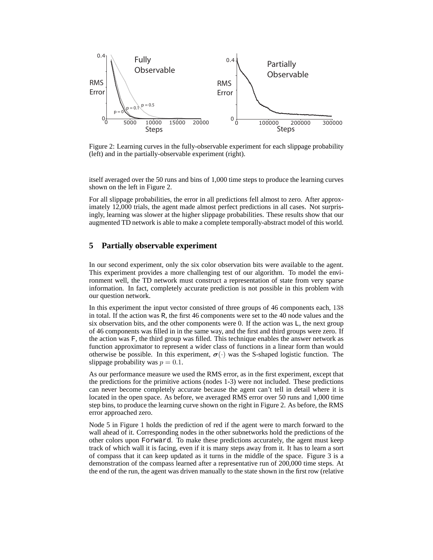

Figure 2: Learning curves in the fully-observable experiment for each slippage probability (left) and in the partially-observable experiment (right).

itself averaged over the 50 runs and bins of 1,000 time steps to produce the learning curves shown on the left in Figure 2.

For all slippage probabilities, the error in all predictions fell almost to zero. After approximately 12,000 trials, the agent made almost perfect predictions in all cases. Not surprisingly, learning was slower at the higher slippage probabilities. These results show that our augmented TD network is able to make a complete temporally-abstract model of this world.

# **5 Partially observable experiment**

In our second experiment, only the six color observation bits were available to the agent. This experiment provides a more challenging test of our algorithm. To model the environment well, the TD network must construct a representation of state from very sparse information. In fact, completely accurate prediction is not possible in this problem with our question network.

In this experiment the input vector consisted of three groups of 46 components each, 138 in total. If the action was R, the first 46 components were set to the 40 node values and the six observation bits, and the other components were 0. If the action was L, the next group of 46 components was filled in in the same way, and the first and third groups were zero. If the action was F, the third group was filled. This technique enables the answer network as function approximator to represent a wider class of functions in a linear form than would otherwise be possible. In this experiment,  $\sigma(\cdot)$  was the S-shaped logistic function. The slippage probability was  $p = 0.1$ .

As our performance measure we used the RMS error, as in the first experiment, except that the predictions for the primitive actions (nodes 1-3) were not included. These predictions can never become completely accurate because the agent can't tell in detail where it is located in the open space. As before, we averaged RMS error over 50 runs and 1,000 time step bins, to produce the learning curve shown on the right in Figure 2. As before, the RMS error approached zero.

Node 5 in Figure 1 holds the prediction of red if the agent were to march forward to the wall ahead of it. Corresponding nodes in the other subnetworks hold the predictions of the other colors upon Forward. To make these predictions accurately, the agent must keep track of which wall it is facing, even if it is many steps away from it. It has to learn a sort of compass that it can keep updated as it turns in the middle of the space. Figure 3 is a demonstration of the compass learned after a representative run of 200,000 time steps. At the end of the run, the agent was driven manually to the state shown in the first row (relative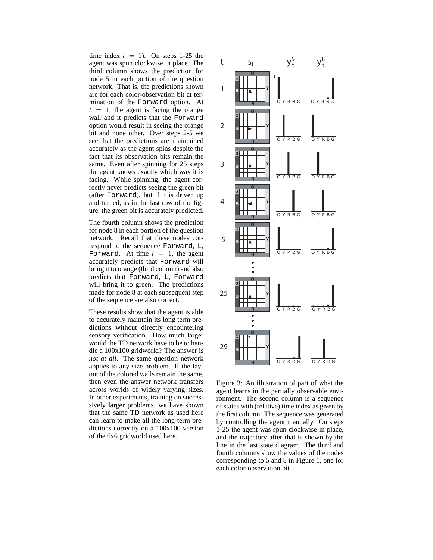time index  $t = 1$ ). On steps 1-25 the agent was spun clockwise in place. The third column shows the prediction for node 5 in each portion of the question network. That is, the predictions shown are for each color-observation bit at termination of the Forward option. At  $t = 1$ , the agent is facing the orange wall and it predicts that the Forward option would result in seeing the orange bit and none other. Over steps 2-5 we see that the predictions are maintained accurately as the agent spins despite the fact that its observation bits remain the same. Even after spinning for 25 steps the agent knows exactly which way it is facing. While spinning, the agent correctly never predicts seeing the green bit (after Forward), but if it is driven up and turned, as in the last row of the figure, the green bit is accurately predicted.

The fourth column shows the prediction for node 8 in each portion of the question network. Recall that these nodes correspond to the sequence Forward, L, Forward. At time  $t = 1$ , the agent accurately predicts that Forward will bring it to orange (third column) and also predicts that Forward, L, Forward will bring it to green. The predictions made for node 8 at each subsequent step of the sequence are also correct.

These results show that the agent is able to accurately maintain its long term predictions without directly encountering sensory verification. How much larger would the TD network have to be to handle a 100x100 gridworld? The answer is *not at all*. The same question network applies to any size problem. If the layout of the colored walls remain the same, then even the answer network transfers across worlds of widely varying sizes. In other experiments, training on successively larger problems, we have shown that the same TD network as used here can learn to make all the long-term predictions correctly on a 100x100 version of the 6x6 gridworld used here.



Figure 3: An illustration of part of what the agent learns in the partially observable environment. The second column is a sequence of states with (relative) time index as given by the first column. The sequence was generated by controlling the agent manually. On steps 1-25 the agent was spun clockwise in place, and the trajectory after that is shown by the line in the last state diagram. The third and fourth columns show the values of the nodes corresponding to 5 and 8 in Figure 1, one for each color-observation bit.